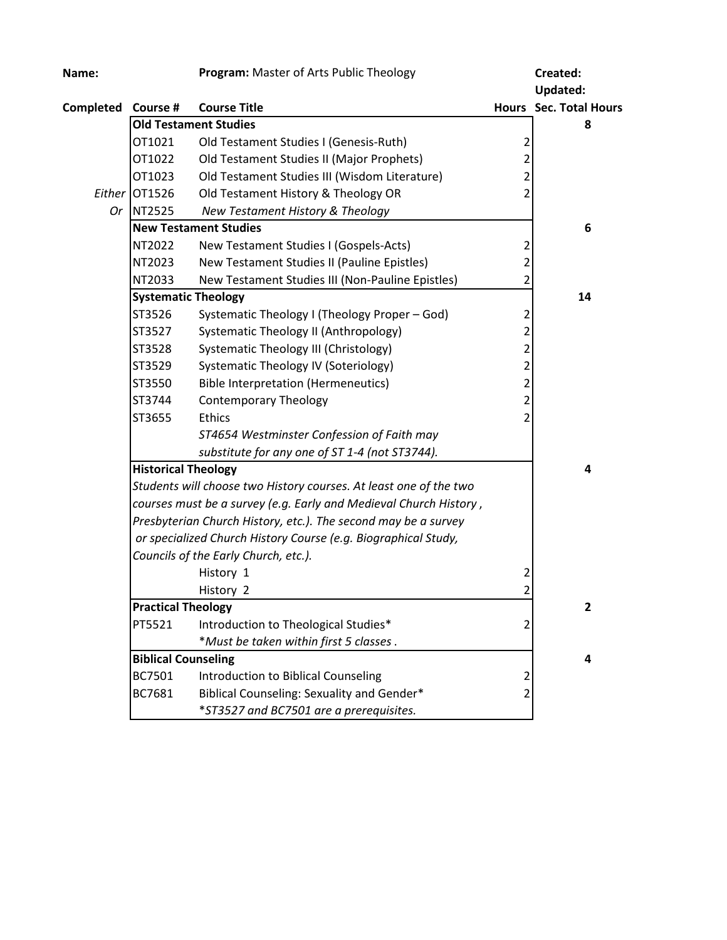| Name:              |                                                                   | Program: Master of Arts Public Theology                           |                          | Created:                      |
|--------------------|-------------------------------------------------------------------|-------------------------------------------------------------------|--------------------------|-------------------------------|
|                    |                                                                   |                                                                   |                          | <b>Updated:</b>               |
| Completed Course # |                                                                   | <b>Course Title</b>                                               |                          | <b>Hours</b> Sec. Total Hours |
|                    |                                                                   | <b>Old Testament Studies</b>                                      |                          | 8                             |
|                    | OT1021                                                            | Old Testament Studies I (Genesis-Ruth)                            | 2                        |                               |
|                    | OT1022                                                            | Old Testament Studies II (Major Prophets)                         | 2                        |                               |
|                    | OT1023                                                            | Old Testament Studies III (Wisdom Literature)                     | 2                        |                               |
| Either             | OT1526                                                            | Old Testament History & Theology OR                               | 2                        |                               |
| Or                 | NT2525                                                            | New Testament History & Theology                                  |                          |                               |
|                    |                                                                   | <b>New Testament Studies</b>                                      |                          | 6                             |
|                    | NT2022                                                            | New Testament Studies I (Gospels-Acts)                            | 2                        |                               |
|                    | NT2023                                                            | New Testament Studies II (Pauline Epistles)                       | 2                        |                               |
|                    | NT2033                                                            | New Testament Studies III (Non-Pauline Epistles)                  | 2                        |                               |
|                    | <b>Systematic Theology</b>                                        |                                                                   |                          | 14                            |
|                    | ST3526                                                            | Systematic Theology I (Theology Proper - God)                     | 2                        |                               |
|                    | ST3527                                                            | Systematic Theology II (Anthropology)                             | 2                        |                               |
|                    | ST3528                                                            | Systematic Theology III (Christology)                             | 2                        |                               |
|                    | ST3529                                                            | Systematic Theology IV (Soteriology)                              | 2                        |                               |
|                    | ST3550                                                            | <b>Bible Interpretation (Hermeneutics)</b>                        | 2                        |                               |
|                    | ST3744                                                            | <b>Contemporary Theology</b>                                      | 2                        |                               |
|                    | ST3655                                                            | Ethics                                                            | $\overline{\phantom{a}}$ |                               |
|                    |                                                                   | ST4654 Westminster Confession of Faith may                        |                          |                               |
|                    |                                                                   | substitute for any one of ST 1-4 (not ST3744).                    |                          |                               |
|                    | <b>Historical Theology</b>                                        |                                                                   |                          | 4                             |
|                    | Students will choose two History courses. At least one of the two |                                                                   |                          |                               |
|                    |                                                                   | courses must be a survey (e.g. Early and Medieval Church History, |                          |                               |
|                    | Presbyterian Church History, etc.). The second may be a survey    |                                                                   |                          |                               |
|                    | or specialized Church History Course (e.g. Biographical Study,    |                                                                   |                          |                               |
|                    |                                                                   | Councils of the Early Church, etc.).                              |                          |                               |
|                    |                                                                   | History 1                                                         | 2                        |                               |
|                    |                                                                   | History 2                                                         | 2                        |                               |
|                    | <b>Practical Theology</b>                                         |                                                                   |                          | $\overline{2}$                |
|                    | PT5521                                                            | Introduction to Theological Studies*                              | $\overline{2}$           |                               |
|                    |                                                                   | *Must be taken within first 5 classes.                            |                          |                               |
|                    | <b>Biblical Counseling</b>                                        |                                                                   |                          | 4                             |
|                    | BC7501                                                            | Introduction to Biblical Counseling                               | 2                        |                               |
|                    | BC7681                                                            | Biblical Counseling: Sexuality and Gender*                        | 2                        |                               |
|                    |                                                                   | *ST3527 and BC7501 are a prerequisites.                           |                          |                               |
|                    |                                                                   |                                                                   |                          |                               |